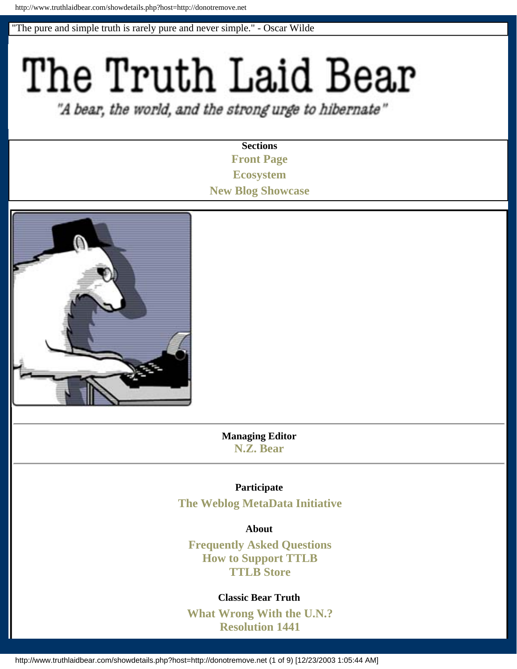"The pure and simple truth is rarely pure and never simple." - Oscar Wilde

# The Truth Laid Bear

"A bear, the world, and the strong urge to hibernate"

**Sections [Front Page](http://www.truthlaidbear.com/) [Ecosystem](http://www.truthlaidbear.com/ecosystem.php) [New Blog Showcase](http://www.truthlaidbear.com/newblogshowcase.php)**



**Managing Editor [N.Z. Bear](mailto:%20%62%65%61r%40%74%72%75%74%68%6caidbe%61r%2e%63o%6d)**

## **Participate**

**[The Weblog MetaData Initiative](http://www.wmdi.org/)**

**About** 

**[Frequently Asked Questions](http://www.truthlaidbear.com/FAQ.php) [How to Support TTLB](http://www.truthlaidbear.com/supportfaq.php) [TTLB Store](http://www.cafepress.com/cp/store/store.aspx?storeid=ttlb)**

## **Classic Bear Truth**

**[What Wrong With the U.N.?](http://www.truthlaidbear.com/archives/2002/12/12/global_democracy_by_proxy.php#000842) [Resolution 1441](http://www.truthlaidbear.com/archives/2003/01/26/iraqi_compliance_an_oxymoron.php#000899)**

http://www.truthlaidbear.com/showdetails.php?host=http://donotremove.net (1 of 9) [12/23/2003 1:05:44 AM]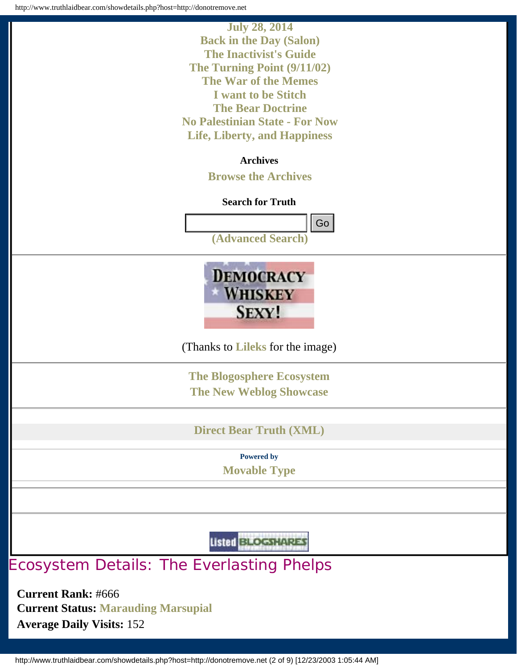

**Current Rank:** #666

**Current Status: [Marauding Marsupial](http://www.truthlaidbear.com/ecosystem.php?start=marsup) Average Daily Visits:** 152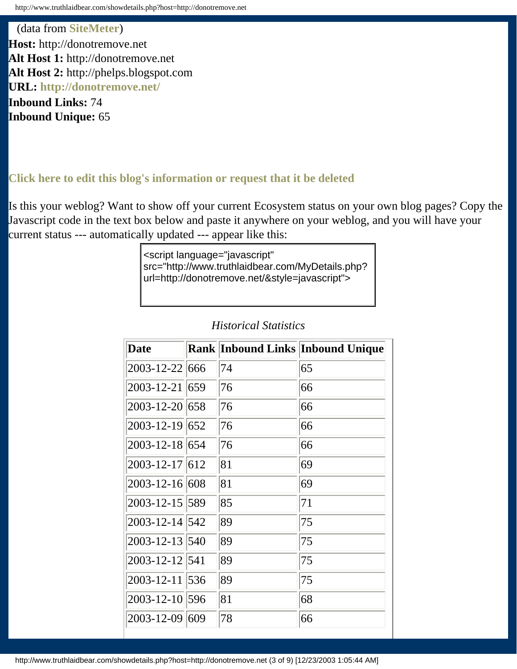(data from **[SiteMeter](http://www.sitemeter.com/)**) **Host:** http://donotremove.net **Alt Host 1:** http://donotremove.net **Alt Host 2:** http://phelps.blogspot.com **URL: <http://donotremove.net/>**

**Inbound Links:** 74 **Inbound Unique:** 65

# **[Click here to edit this blog's information or request that it be deleted](http://www.truthlaidbear.com/editdetails.php?host=http://donotremove.net)**

Is this your weblog? Want to show off your current Ecosystem status on your own blog pages? Copy the Javascript code in the text box below and paste it anywhere on your weblog, and you will have your current status --- automatically updated --- appear like this:

> <script language="javascript" src="http://www.truthlaidbear.com/MyDetails.php? url=http://donotremove.net/&style=javascript">

| <b>Date</b>          |    | <b>Rank Inbound Links Inbound Unique</b> |
|----------------------|----|------------------------------------------|
| 2003-12-22 666       | 74 | 65                                       |
| 2003-12-21 659       | 76 | 66                                       |
| 2003-12-20 658       | 76 | 66                                       |
| $2003 - 12 - 19$ 652 | 76 | 66                                       |
| 2003-12-18 654       | 76 | 66                                       |
| $2003 - 12 - 17$ 612 | 81 | 69                                       |
| 2003-12-16 608       | 81 | 69                                       |
| 2003-12-15 589       | 85 | 71                                       |
| 2003-12-14 542       | 89 | 75                                       |
| 2003-12-13 540       | 89 | 75                                       |
| 2003-12-12 541       | 89 | 75                                       |
| 2003-12-11 536       | 89 | 75                                       |
| 2003-12-10 596       | 81 | 68                                       |
| 2003-12-09 609       | 78 | 66                                       |

# *Historical Statistics*

http://www.truthlaidbear.com/showdetails.php?host=http://donotremove.net (3 of 9) [12/23/2003 1:05:44 AM]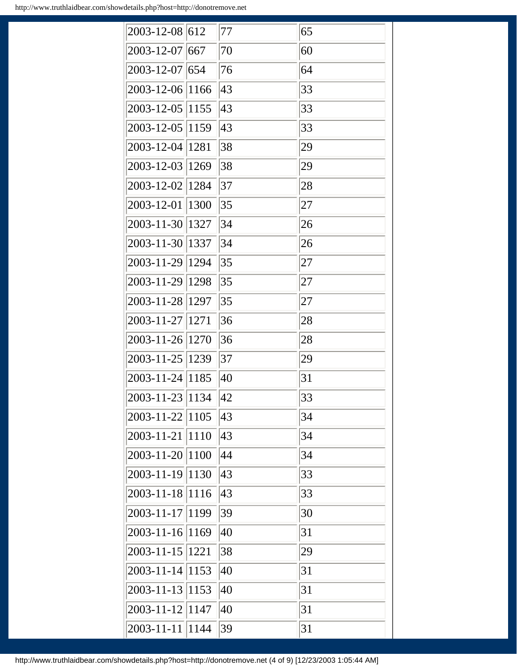| 2003-12-08 612    |      | 77 | 65 |
|-------------------|------|----|----|
| 2003-12-07 667    |      | 70 | 60 |
| 2003-12-07 654    |      | 76 | 64 |
| 2003-12-06 1166   |      | 43 | 33 |
| 2003-12-05  1155  |      | 43 | 33 |
| 2003-12-05  1159  |      | 43 | 33 |
| 2003-12-04 1281   |      | 38 | 29 |
| 2003-12-03 1269   |      | 38 | 29 |
| 2003-12-02 1284   |      | 37 | 28 |
| 2003-12-01        | 1300 | 35 | 27 |
| 2003-11-30 1327   |      | 34 | 26 |
| 2003-11-30 1337   |      | 34 | 26 |
| 2003-11-29 1294   |      | 35 | 27 |
| 2003-11-29 1298   |      | 35 | 27 |
| 2003-11-28 1297   |      | 35 | 27 |
| 2003-11-27   1271 |      | 36 | 28 |
| 2003-11-26 1270   |      | 36 | 28 |
| 2003-11-25 1239   |      | 37 | 29 |
| 2003-11-24 1185   |      | 40 | 31 |
| 2003-11-23  1134  |      | 42 | 33 |
| 2003-11-22 1105   |      | 43 | 34 |
| $2003 - 11 - 21$  | 1110 | 43 | 34 |
| 2003-11-20 1100   |      | 44 | 34 |
| 2003-11-19  1130  |      | 43 | 33 |
| $2003 - 11 - 18$  | 1116 | 43 | 33 |
| 2003-11-17        | 1199 | 39 | 30 |
| $2003 - 11 - 16$  | 1169 | 40 | 31 |
| 2003-11-15   1221 |      | 38 | 29 |
| 2003-11-14 1153   |      | 40 | 31 |
| $2003 - 11 - 13$  | 1153 | 40 | 31 |
| $2003 - 11 - 12$  | 1147 | 40 | 31 |
| $2003 - 11 - 11$  | 1144 | 39 | 31 |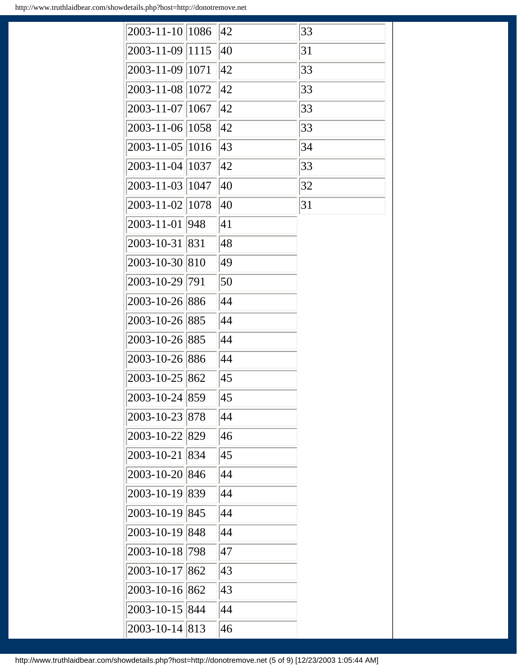| 2003-11-10 1086  |      | 42 | 33 |
|------------------|------|----|----|
| 2003-11-09 1115  |      | 40 | 31 |
| 2003-11-09 1071  |      | 42 | 33 |
| 2003-11-08 1072  |      | 42 | 33 |
| 2003-11-07 1067  |      | 42 | 33 |
| 2003-11-06 1058  |      | 42 | 33 |
| 2003-11-05 1016  |      | 43 | 34 |
| $2003 - 11 - 04$ | 1037 | 42 | 33 |
| 2003-11-03 1047  |      | 40 | 32 |
| 2003-11-02 1078  |      | 40 | 31 |
| 2003-11-01 948   |      | 41 |    |
| 2003-10-31 831   |      | 48 |    |
| 2003-10-30 810   |      | 49 |    |
| 2003-10-29 791   |      | 50 |    |
| 2003-10-26 886   |      | 44 |    |
| 2003-10-26 885   |      | 44 |    |
| 2003-10-26 885   |      | 44 |    |
| 2003-10-26 886   |      | 44 |    |
| 2003-10-25 862   |      | 45 |    |
| 2003-10-24 859   |      | 45 |    |
| 2003-10-23       | 878  | 44 |    |
| 2003-10-22       | 829  | 46 |    |
| 2003-10-21       | 834  | 45 |    |
| $2003 - 10 - 20$ | 846  | 44 |    |
| 2003-10-19       | 839  | 44 |    |
| 2003-10-19       | 845  | 44 |    |
| 2003-10-19       | 848  | 44 |    |
| $2003 - 10 - 18$ | 798  | 47 |    |
| $2003 - 10 - 17$ | 862  | 43 |    |
| 2003-10-16 862   |      | 43 |    |
| 2003-10-15       | 844  | 44 |    |
| 2003-10-14       | 813  | 46 |    |

http://www.truthlaidbear.com/showdetails.php?host=http://donotremove.net (5 of 9) [12/23/2003 1:05:44 AM]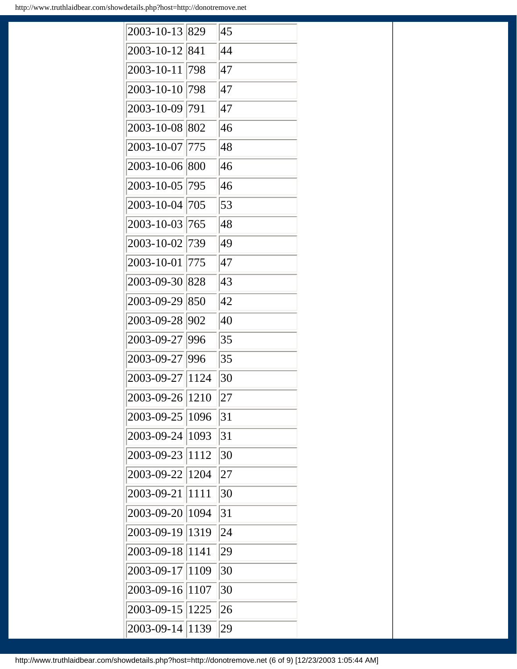| 2003-10-13 | 829  | 45 |  |
|------------|------|----|--|
| 2003-10-12 | 841  | 44 |  |
| 2003-10-11 | 798  | 47 |  |
| 2003-10-10 | 798  | 47 |  |
| 2003-10-09 | 791  | 47 |  |
| 2003-10-08 | 802  | 46 |  |
| 2003-10-07 | 775  | 48 |  |
| 2003-10-06 | 800  | 46 |  |
| 2003-10-05 | 795  | 46 |  |
| 2003-10-04 | 705  | 53 |  |
| 2003-10-03 | 765  | 48 |  |
| 2003-10-02 | 739  | 49 |  |
| 2003-10-01 | 775  | 47 |  |
| 2003-09-30 | 828  | 43 |  |
| 2003-09-29 | 850  | 42 |  |
| 2003-09-28 | 902  | 40 |  |
| 2003-09-27 | 996  | 35 |  |
| 2003-09-27 | 996  | 35 |  |
| 2003-09-27 | 1124 | 30 |  |
| 2003-09-26 | 1210 | 27 |  |
| 2003-09-25 | 1096 | 31 |  |
| 2003-09-24 | 1093 | 31 |  |
| 2003-09-23 | 1112 | 30 |  |
| 2003-09-22 | 1204 | 27 |  |
| 2003-09-21 | 1111 | 30 |  |
| 2003-09-20 | 1094 | 31 |  |
| 2003-09-19 | 1319 | 24 |  |
| 2003-09-18 | 1141 | 29 |  |
| 2003-09-17 | 1109 | 30 |  |
| 2003-09-16 | 1107 | 30 |  |
| 2003-09-15 | 1225 | 26 |  |
| 2003-09-14 | 1139 | 29 |  |

http://www.truthlaidbear.com/showdetails.php?host=http://donotremove.net (6 of 9) [12/23/2003 1:05:44 AM]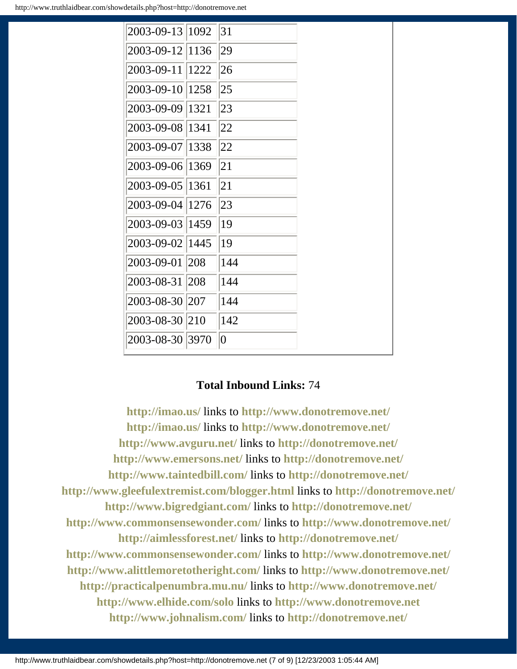| 2003-09-13 1092  | 31           |
|------------------|--------------|
| 2003-09-12 1136  | 29           |
| 2003-09-11 1222  | 26           |
| 2003-09-10 1258  | $ 25\rangle$ |
| 2003-09-09 1321  | 23           |
| 2003-09-08 1341  | 22           |
| 2003-09-07 1338  | 22           |
| 2003-09-06 1369  | 21           |
| 2003-09-05 1361  | 21           |
| 2003-09-04 1276  | 23           |
| 2003-09-03  1459 | 19           |
| 2003-09-02 1445  | 19           |
| 2003-09-01 208   | 144          |
| 2003-08-31 208   | 144          |
| 2003-08-30 207   | 144          |
| 2003-08-30 210   | 142          |
| 2003-08-30 3970  | $ 0\rangle$  |

# **Total Inbound Links:** 74

**<http://imao.us/>** links to **<http://www.donotremove.net/> <http://imao.us/>** links to **<http://www.donotremove.net/> <http://www.avguru.net/>** links to **<http://donotremove.net/> <http://www.emersons.net/>** links to **<http://donotremove.net/> <http://www.taintedbill.com/>** links to **<http://donotremove.net/> <http://www.gleefulextremist.com/blogger.html>** links to **<http://donotremove.net/> <http://www.bigredgiant.com/>** links to **<http://donotremove.net/> <http://www.commonsensewonder.com/>** links to **<http://www.donotremove.net/> <http://aimlessforest.net/>** links to **<http://donotremove.net/> <http://www.commonsensewonder.com/>** links to **<http://www.donotremove.net/> <http://www.alittlemoretotheright.com/>** links to **<http://www.donotremove.net/> <http://practicalpenumbra.mu.nu/>** links to **<http://www.donotremove.net/> <http://www.elhide.com/solo>** links to **[http://www.donotremove.net](http://www.donotremove.net/) <http://www.johnalism.com/>** links to **<http://donotremove.net/>**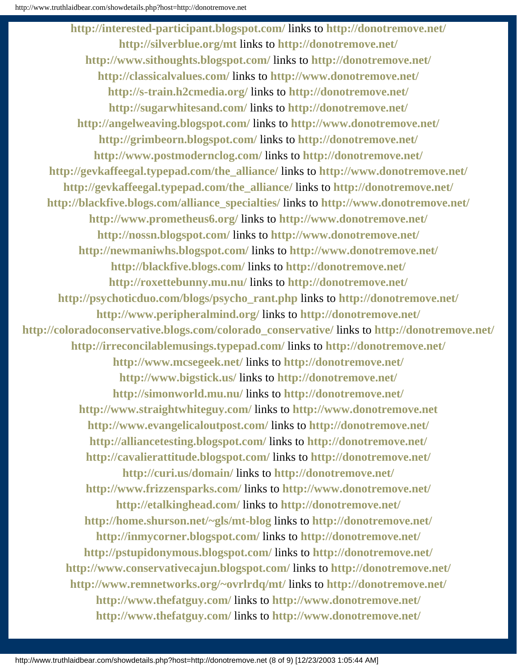**<http://interested-participant.blogspot.com/>** links to **<http://donotremove.net/> <http://silverblue.org/mt>** links to **<http://donotremove.net/> <http://www.sithoughts.blogspot.com/>** links to **<http://donotremove.net/> <http://classicalvalues.com/>** links to **<http://www.donotremove.net/> <http://s-train.h2cmedia.org/>** links to **<http://donotremove.net/> <http://sugarwhitesand.com/>** links to **<http://donotremove.net/> <http://angelweaving.blogspot.com/>** links to **<http://www.donotremove.net/> <http://grimbeorn.blogspot.com/>** links to **<http://donotremove.net/> <http://www.postmodernclog.com/>** links to **<http://donotremove.net/> [http://gevkaffeegal.typepad.com/the\\_alliance/](http://gevkaffeegal.typepad.com/the_alliance/)** links to **<http://www.donotremove.net/> [http://gevkaffeegal.typepad.com/the\\_alliance/](http://gevkaffeegal.typepad.com/the_alliance/)** links to **<http://donotremove.net/> [http://blackfive.blogs.com/alliance\\_specialties/](http://blackfive.blogs.com/alliance_specialties/)** links to **<http://www.donotremove.net/> <http://www.prometheus6.org/>** links to **<http://www.donotremove.net/> <http://nossn.blogspot.com/>** links to **<http://www.donotremove.net/> <http://newmaniwhs.blogspot.com/>** links to **<http://www.donotremove.net/> <http://blackfive.blogs.com/>** links to **<http://donotremove.net/> <http://roxettebunny.mu.nu/>** links to **<http://donotremove.net/> [http://psychoticduo.com/blogs/psycho\\_rant.php](http://psychoticduo.com/blogs/psycho_rant.php)** links to **<http://donotremove.net/> <http://www.peripheralmind.org/>** links to **<http://donotremove.net/> [http://coloradoconservative.blogs.com/colorado\\_conservative/](http://coloradoconservative.blogs.com/colorado_conservative/)** links to **<http://donotremove.net/> <http://irreconcilablemusings.typepad.com/>** links to **<http://donotremove.net/> <http://www.mcsegeek.net/>** links to **<http://donotremove.net/> <http://www.bigstick.us/>** links to **<http://donotremove.net/> <http://simonworld.mu.nu/>** links to **<http://donotremove.net/> <http://www.straightwhiteguy.com/>** links to **[http://www.donotremove.net](http://www.donotremove.net/) <http://www.evangelicaloutpost.com/>** links to **<http://donotremove.net/> <http://alliancetesting.blogspot.com/>** links to **<http://donotremove.net/> <http://cavalierattitude.blogspot.com/>** links to **<http://donotremove.net/> <http://curi.us/domain/>** links to **<http://donotremove.net/> <http://www.frizzensparks.com/>** links to **<http://www.donotremove.net/> <http://etalkinghead.com/>** links to **<http://donotremove.net/> <http://home.shurson.net/~gls/mt-blog>** links to **<http://donotremove.net/> <http://inmycorner.blogspot.com/>** links to **<http://donotremove.net/> <http://pstupidonymous.blogspot.com/>** links to **<http://donotremove.net/> <http://www.conservativecajun.blogspot.com/>** links to **<http://donotremove.net/> <http://www.remnetworks.org/~ovrlrdq/mt/>** links to **<http://donotremove.net/> <http://www.thefatguy.com/>** links to **<http://www.donotremove.net/> <http://www.thefatguy.com/>** links to **<http://www.donotremove.net/>**